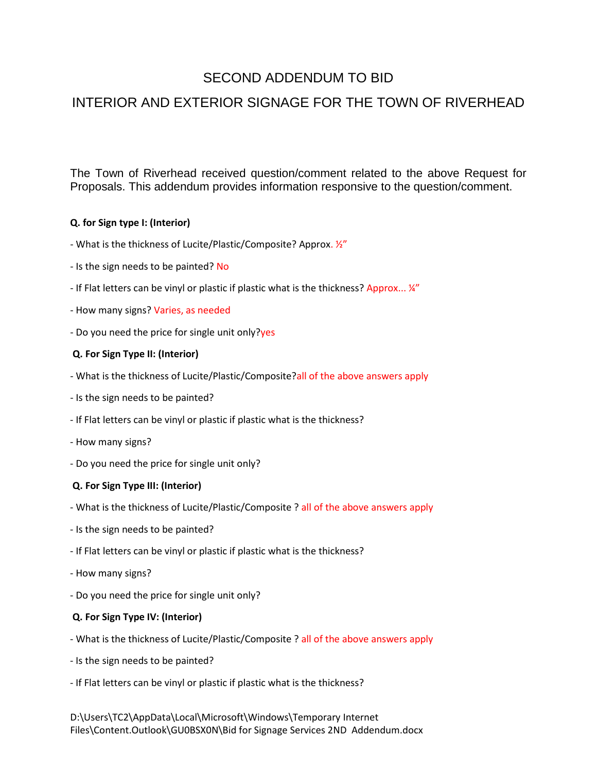# SECOND ADDENDUM TO BID

# INTERIOR AND EXTERIOR SIGNAGE FOR THE TOWN OF RIVERHEAD

The Town of Riverhead received question/comment related to the above Request for Proposals. This addendum provides information responsive to the question/comment.

## **Q. for Sign type I: (Interior)**

- What is the thickness of Lucite/Plastic/Composite? Approx. ½"
- Is the sign needs to be painted? No
- If Flat letters can be vinyl or plastic if plastic what is the thickness? Approx... 14"
- How many signs? Varies, as needed
- Do you need the price for single unit only?yes

## **Q. For Sign Type II: (Interior)**

- What is the thickness of Lucite/Plastic/Composite?all of the above answers apply
- Is the sign needs to be painted?
- If Flat letters can be vinyl or plastic if plastic what is the thickness?
- How many signs?
- Do you need the price for single unit only?

#### **Q. For Sign Type III: (Interior)**

- What is the thickness of Lucite/Plastic/Composite ? all of the above answers apply
- Is the sign needs to be painted?
- If Flat letters can be vinyl or plastic if plastic what is the thickness?
- How many signs?
- Do you need the price for single unit only?

#### **Q. For Sign Type IV: (Interior)**

- What is the thickness of Lucite/Plastic/Composite ? all of the above answers apply
- Is the sign needs to be painted?
- If Flat letters can be vinyl or plastic if plastic what is the thickness?

D:\Users\TC2\AppData\Local\Microsoft\Windows\Temporary Internet Files\Content.Outlook\GU0BSX0N\Bid for Signage Services 2ND Addendum.docx